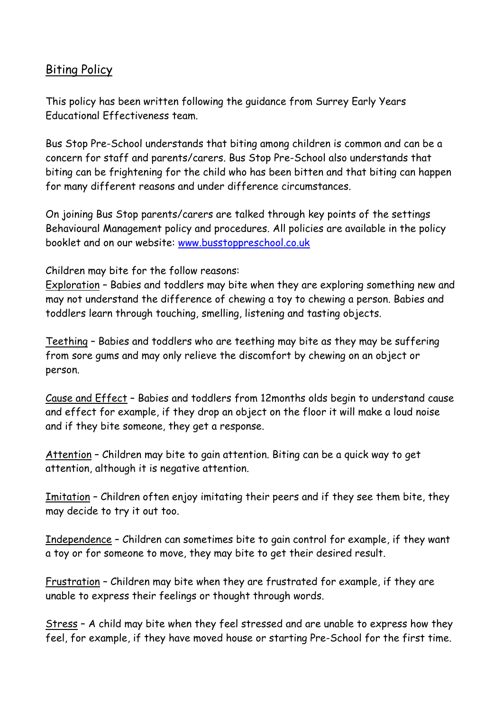## Biting Policy

This policy has been written following the guidance from Surrey Early Years Educational Effectiveness team.

Bus Stop Pre-School understands that biting among children is common and can be a concern for staff and parents/carers. Bus Stop Pre-School also understands that biting can be frightening for the child who has been bitten and that biting can happen for many different reasons and under difference circumstances.

On joining Bus Stop parents/carers are talked through key points of the settings Behavioural Management policy and procedures. All policies are available in the policy booklet and on our website: [www.busstoppreschool.co.uk](http://www.busstoppreschool.co.uk/)

Children may bite for the follow reasons:

Exploration – Babies and toddlers may bite when they are exploring something new and may not understand the difference of chewing a toy to chewing a person. Babies and toddlers learn through touching, smelling, listening and tasting objects.

Teething – Babies and toddlers who are teething may bite as they may be suffering from sore gums and may only relieve the discomfort by chewing on an object or person.

Cause and Effect – Babies and toddlers from 12months olds begin to understand cause and effect for example, if they drop an object on the floor it will make a loud noise and if they bite someone, they get a response.

Attention – Children may bite to gain attention. Biting can be a quick way to get attention, although it is negative attention.

Imitation – Children often enjoy imitating their peers and if they see them bite, they may decide to try it out too.

Independence – Children can sometimes bite to gain control for example, if they want a toy or for someone to move, they may bite to get their desired result.

Frustration – Children may bite when they are frustrated for example, if they are unable to express their feelings or thought through words.

Stress – A child may bite when they feel stressed and are unable to express how they feel, for example, if they have moved house or starting Pre-School for the first time.